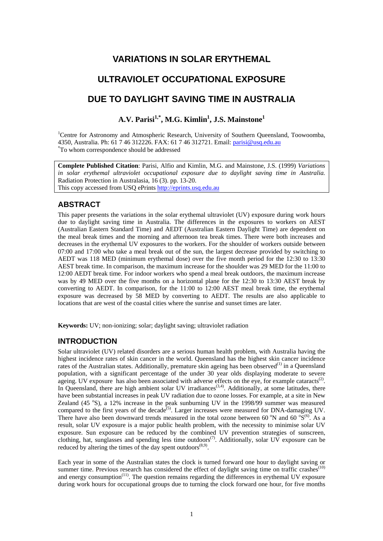## **VARIATIONS IN SOLAR ERYTHEMAL**

# **ULTRAVIOLET OCCUPATIONAL EXPOSURE**

# **DUE TO DAYLIGHT SAVING TIME IN AUSTRALIA**

## $\mathbf{A}.\mathbf{V}.\ \mathbf{Parisi}^{1,*},\mathbf{M}.\mathbf{G}.\ \mathbf{Kimlin}^{1},\ \mathbf{J}.\mathbf{S}.\ \mathbf{Mainstone}^{1}$

<sup>1</sup>Centre for Astronomy and Atmospheric Research, University of Southern Queensland, Toowoomba, 4350, Australia. Ph: 61 7 46 312226. FAX: 61 7 46 312721. Email: [parisi@usq.edu.au](mailto:parisi@usq.edu.au) \* To whom correspondence should be addressed

**Complete Published Citation**: Parisi, Alfio and Kimlin, M.G. and Mainstone, J.S. (1999) *Variations in solar erythemal ultraviolet occupational exposure due to daylight saving time in Australia.* Radiation Protection in Australasia, 16 (3). pp. 13-20. This copy accessed from USQ ePrints [http://eprints.usq.edu.au](http://eprints.usq.edu.au/)

### **ABSTRACT**

This paper presents the variations in the solar erythemal ultraviolet (UV) exposure during work hours due to daylight saving time in Australia. The differences in the exposures to workers on AEST (Australian Eastern Standard Time) and AEDT (Australian Eastern Daylight Time) are dependent on the meal break times and the morning and afternoon tea break times. There were both increases and decreases in the erythemal UV exposures to the workers. For the shoulder of workers outside between 07:00 and 17:00 who take a meal break out of the sun, the largest decrease provided by switching to AEDT was 118 MED (minimum erythemal dose) over the five month period for the 12:30 to 13:30 AEST break time. In comparison, the maximum increase for the shoulder was 29 MED for the 11:00 to 12:00 AEDT break time. For indoor workers who spend a meal break outdoors, the maximum increase was by 49 MED over the five months on a horizontal plane for the 12:30 to 13:30 AEST break by converting to AEDT. In comparison, for the 11:00 to 12:00 AEST meal break time, the erythemal exposure was decreased by 58 MED by converting to AEDT. The results are also applicable to locations that are west of the coastal cities where the sunrise and sunset times are later.

**Keywords:** UV; non-ionizing; solar; daylight saving; ultraviolet radiation

## **INTRODUCTION**

Solar ultraviolet (UV) related disorders are a serious human health problem, with Australia having the highest incidence rates of skin cancer in the world. Queensland has the highest skin cancer incidence rates of the Australian states. Additionally, premature skin ageing has been observed<sup>(1)</sup> in a Queensland population, with a significant percentage of the under 30 year olds displaying moderate to severe ageing. UV exposure has also been associated with adverse effects on the eye, for example cataracts<sup>(2)</sup>. In Queensland, there are high ambient solar UV irradiances<sup> $(3,4)$ </sup>. Additionally, at some latitudes, there have been substantial increases in peak UV radiation due to ozone losses. For example, at a site in New Zealand (45 °S), a 12% increase in the peak sunburning UV in the 1998/99 summer was measured compared to the first years of the decade<sup>(5)</sup>. Larger increases were measured for DNA-damaging UV. There have also been downward trends measured in the total ozone between 60  $\rmdegree N$  and 60  $\rmdegree S^{(6)}$ . As a result, solar UV exposure is a major public health problem, with the necessity to minimise solar UV exposure. Sun exposure can be reduced by the combined UV prevention strategies of sunscreen, clothing, hat, sunglasses and spending less time outdoors<sup>(7)</sup>. Additionally, solar UV exposure can be reduced by altering the times of the day spent outdoors $(8,9)$ .

Each year in some of the Australian states the clock is turned forward one hour to daylight saving or summer time. Previous research has considered the effect of daylight saving time on traffic crashes<sup>(10)</sup> and energy consumption<sup>(11)</sup>. The question remains regarding the differences in erythemal UV exposure during work hours for occupational groups due to turning the clock forward one hour, for five months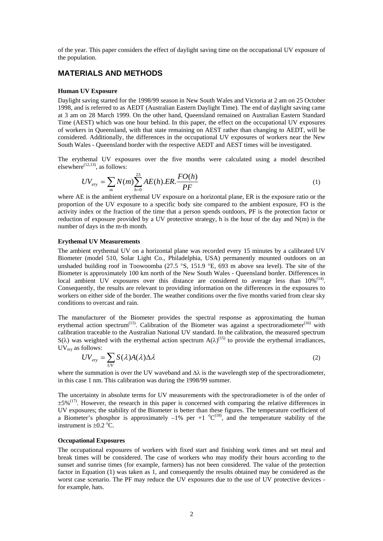of the year. This paper considers the effect of daylight saving time on the occupational UV exposure of the population.

### **MATERIALS AND METHODS**

#### **Human UV Exposure**

Daylight saving started for the 1998/99 season in New South Wales and Victoria at 2 am on 25 October 1998, and is referred to as AEDT (Australian Eastern Daylight Time). The end of daylight saving came at 3 am on 28 March 1999. On the other hand, Queensland remained on Australian Eastern Standard Time (AEST) which was one hour behind. In this paper, the effect on the occupational UV exposures of workers in Queensland, with that state remaining on AEST rather than changing to AEDT, will be considered. Additionally, the differences in the occupational UV exposures of workers near the New South Wales - Queensland border with the respective AEDT and AEST times will be investigated.

The erythemal UV exposures over the five months were calculated using a model described elsewhere<sup> $(12,13)$ </sup>, as follows:

$$
UV_{\text{ery}} = \sum_{m} N(m) \sum_{h=0}^{23} AE(h).ER.\frac{FO(h)}{PF}
$$
 (1)

where AE is the ambient erythemal UV exposure on a horizontal plane, ER is the exposure ratio or the proportion of the UV exposure to a specific body site compared to the ambient exposure, FO is the activity index or the fraction of the time that a person spends outdoors, PF is the protection factor or reduction of exposure provided by a UV protective strategy, h is the hour of the day and N(m) is the number of days in the m-th month.

#### **Erythemal UV Measurements**

The ambient erythemal UV on a horizontal plane was recorded every 15 minutes by a calibrated UV Biometer (model 510, Solar Light Co., Philadelphia, USA) permanently mounted outdoors on an unshaded building roof in Toowoomba (27.5 °S, 151.9 °E, 693 m above sea level). The site of the Biometer is approximately 100 km north of the New South Wales - Queensland border. Differences in local ambient UV exposures over this distance are considered to average less than  $10\%$ <sup>(14)</sup>. Consequently, the results are relevant to providing information on the differences in the exposures to workers on either side of the border. The weather conditions over the five months varied from clear sky conditions to overcast and rain.

The manufacturer of the Biometer provides the spectral response as approximating the human erythemal action spectrum<sup>(15)</sup>. Calibration of the Biometer was against a spectroradiometer<sup>(16)</sup> with calibration traceable to the Australian National UV standard. In the calibration, the measured spectrum S( $\lambda$ ) was weighted with the erythemal action spectrum  $A(\lambda)^{(15)}$  to provide the erythemal irradiances, UVery as follows:

$$
UV_{\text{ery}} = \sum_{UV} S(\lambda)A(\lambda)\Delta\lambda
$$
 (2)

where the summation is over the UV waveband and  $\Delta\lambda$  is the wavelength step of the spectroradiometer, in this case 1 nm. This calibration was during the 1998/99 summer.

The uncertainty in absolute terms for UV measurements with the spectroradiometer is of the order of  $\pm$ 5%<sup>(17)</sup>. However, the research in this paper is concerned with comparing the relative differences in UV exposures; the stability of the Biometer is better than these figures. The temperature coefficient of a Biometer's phosphor is approximately  $-1\%$  per  $+1$   $^{\circ}C^{(18)}$ , and the temperature stability of the instrument is  $\pm 0.2$  °C.

#### **Occupational Exposures**

The occupational exposures of workers with fixed start and finishing work times and set meal and break times will be considered. The case of workers who may modify their hours according to the sunset and sunrise times (for example, farmers) has not been considered. The value of the protection factor in Equation (1) was taken as 1, and consequently the results obtained may be considered as the worst case scenario. The PF may reduce the UV exposures due to the use of UV protective devices for example, hats.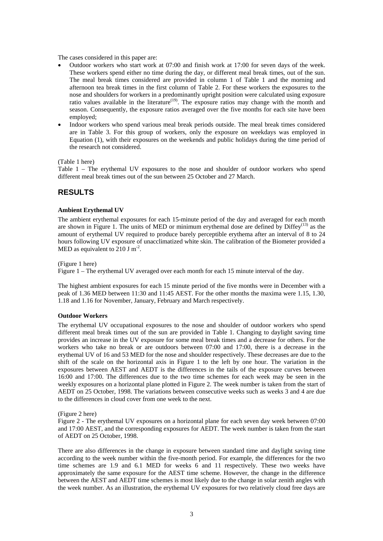The cases considered in this paper are:

- Outdoor workers who start work at 07:00 and finish work at 17:00 for seven days of the week. These workers spend either no time during the day, or different meal break times, out of the sun. The meal break times considered are provided in column 1 of [Table 1](#page-6-0) and the morning and afternoon tea break times in the first column of [Table 2](#page-6-1). For these workers the exposures to the nose and shoulders for workers in a predominantly upright position were calculated using exposure ratio values available in the literature<sup> $(19)$ </sup>. The exposure ratios may change with the month and season. Consequently, the exposure ratios averaged over the five months for each site have been employed;
- Indoor workers who spend various meal break periods outside. The meal break times considered are in [Table 3.](#page-6-2) For this group of workers, only the exposure on weekdays was employed in Equation (1), with their exposures on the weekends and public holidays during the time period of the research not considered.

[\(Table 1](#page-6-0) here)

[Table 1 – The erythemal UV exposures to the nose and shoulder of outdoor workers who spend](#page-6-0)  [different meal break times out of the sun between 25 October and 27 March.](#page-6-0)

### **RESULTS**

#### **Ambient Erythemal UV**

The ambient erythemal exposures for each 15-minute period of the day and averaged for each month are shown in [Figure 1](#page-7-0). The units of MED or minimum erythemal dose are defined by Diffey<sup>(13)</sup> as the amount of erythemal UV required to produce barely perceptible erythema after an interval of 8 to 24 hours following UV exposure of unacclimatized white skin. The calibration of the Biometer provided a MED as equivalent to  $210 \text{ J m}^2$ .

[\(Figure 1](#page-7-0) here)

[Figure 1 – The erythemal UV averaged over each month for each 15 minute interval of the day.](#page-7-0)

The highest ambient exposures for each 15 minute period of the five months were in December with a peak of 1.36 MED between 11:30 and 11:45 AEST. For the other months the maxima were 1.15, 1.30, 1.18 and 1.16 for November, January, February and March respectively.

#### **Outdoor Workers**

The erythemal UV occupational exposures to the nose and shoulder of outdoor workers who spend different meal break times out of the sun are provided in [Table 1.](#page-6-0) Changing to daylight saving time provides an increase in the UV exposure for some meal break times and a decrease for others. For the workers who take no break or are outdoors between 07:00 and 17:00, there is a decrease in the erythemal UV of 16 and 53 MED for the nose and shoulder respectively. These decreases are due to the shift of the scale on the horizontal axis in [Figure 1](#page-7-0) to the left by one hour. The variation in the exposures between AEST and AEDT is the differences in the tails of the exposure curves between 16:00 and 17:00. The differences due to the two time schemes for each week may be seen in the weekly exposures on a horizontal plane plotted in [Figure 2](#page-7-1). The week number is taken from the start of AEDT on 25 October, 1998. The variations between consecutive weeks such as weeks 3 and 4 are due to the differences in cloud cover from one week to the next.

[\(Figure 2](#page-7-1) here)

[Figure 2 - The erythemal UV exposures on a horizontal plane for each seven day week between 07:00](#page-7-1)  [and 17:00 AEST, and the corresponding exposures for AEDT. The week number is taken from the start](#page-7-1)  [of AEDT on 25 October, 1998.](#page-7-1)

There are also differences in the change in exposure between standard time and daylight saving time according to the week number within the five-month period. For example, the differences for the two time schemes are 1.9 and 6.1 MED for weeks 6 and 11 respectively. These two weeks have approximately the same exposure for the AEST time scheme. However, the change in the difference between the AEST and AEDT time schemes is most likely due to the change in solar zenith angles with the week number. As an illustration, the erythemal UV exposures for two relatively cloud free days are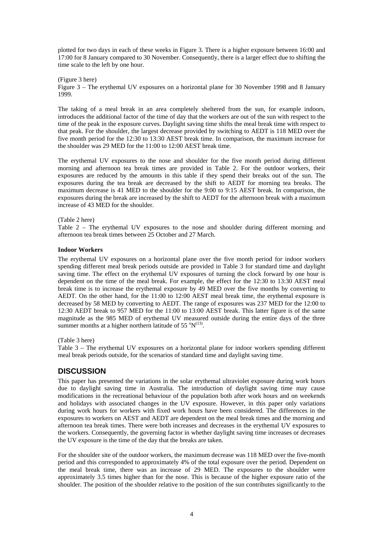plotted for two days in each of these weeks in [Figure 3](#page-7-2). There is a higher exposure between 16:00 and 17:00 for 8 January compared to 30 November. Consequently, there is a larger effect due to shifting the time scale to the left by one hour.

[\(Figure 3](#page-7-2) here)

[Figure 3 – The erythemal UV exposures on a horizontal plane for 30 November 1998 and 8 January](#page-7-2)  [1999.](#page-7-2)

The taking of a meal break in an area completely sheltered from the sun, for example indoors, introduces the additional factor of the time of day that the workers are out of the sun with respect to the time of the peak in the exposure curves. Daylight saving time shifts the meal break time with respect to that peak. For the shoulder, the largest decrease provided by switching to AEDT is 118 MED over the five month period for the 12:30 to 13:30 AEST break time. In comparison, the maximum increase for the shoulder was 29 MED for the 11:00 to 12:00 AEST break time.

The erythemal UV exposures to the nose and shoulder for the five month period during different morning and afternoon tea break times are provided in [Table 2.](#page-6-1) For the outdoor workers, their exposures are reduced by the amounts in this table if they spend their breaks out of the sun. The exposures during the tea break are decreased by the shift to AEDT for morning tea breaks. The maximum decrease is 41 MED to the shoulder for the 9:00 to 9:15 AEST break. In comparison, the exposures during the break are increased by the shift to AEDT for the afternoon break with a maximum increase of 43 MED for the shoulder.

#### [\(Table 2](#page-6-1) here)

[Table 2 – The erythemal UV exposures to the nose and shoulder during different morning and](#page-6-1)  [afternoon tea break times between 25 October and 27 March.](#page-6-1)

#### **Indoor Workers**

The erythemal UV exposures on a horizontal plane over the five month period for indoor workers spending different meal break periods outside are provided in [Table 3](#page-6-2) for standard time and daylight saving time. The effect on the erythemal UV exposures of turning the clock forward by one hour is dependent on the time of the meal break. For example, the effect for the 12:30 to 13:30 AEST meal break time is to increase the erythemal exposure by 49 MED over the five months by converting to AEDT. On the other hand, for the 11:00 to 12:00 AEST meal break time, the erythemal exposure is decreased by 58 MED by converting to AEDT. The range of exposures was 237 MED for the 12:00 to 12:30 AEDT break to 957 MED for the 11:00 to 13:00 AEST break. This latter figure is of the same magnitude as the 985 MED of erythemal UV measured outside during the entire days of the three summer months at a higher northern latitude of 55  $\rm ^{o}N^{(13)}$ .

[\(Table 3](#page-6-2) here)

[Table 3 – The erythemal UV exposures on a horizontal plane for indoor workers spending different](#page-6-2)  [meal break periods outside, for the scenarios of standard time and daylight saving time.](#page-6-2)

## **DISCUSSION**

This paper has presented the variations in the solar erythemal ultraviolet exposure during work hours due to daylight saving time in Australia. The introduction of daylight saving time may cause modifications in the recreational behaviour of the population both after work hours and on weekends and holidays with associated changes in the UV exposure. However, in this paper only variations during work hours for workers with fixed work hours have been considered. The differences in the exposures to workers on AEST and AEDT are dependent on the meal break times and the morning and afternoon tea break times. There were both increases and decreases in the erythemal UV exposures to the workers. Consequently, the governing factor in whether daylight saving time increases or decreases the UV exposure is the time of the day that the breaks are taken.

For the shoulder site of the outdoor workers, the maximum decrease was 118 MED over the five-month period and this corresponded to approximately 4% of the total exposure over the period. Dependent on the meal break time, there was an increase of 29 MED. The exposures to the shoulder were approximately 3.5 times higher than for the nose. This is because of the higher exposure ratio of the shoulder. The position of the shoulder relative to the position of the sun contributes significantly to the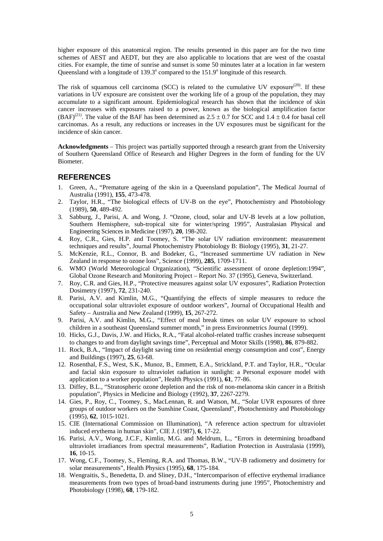higher exposure of this anatomical region. The results presented in this paper are for the two time schemes of AEST and AEDT, but they are also applicable to locations that are west of the coastal cities. For example, the time of sunrise and sunset is some 50 minutes later at a location in far western Queensland with a longitude of  $139.3^\circ$  compared to the  $151.9^\circ$  longitude of this research.

The risk of squamous cell carcinoma (SCC) is related to the cumulative UV exposure<sup>(20)</sup>. If these variations in UV exposure are consistent over the working life of a group of the population, they may accumulate to a significant amount. Epidemiological research has shown that the incidence of skin cancer increases with exposures raised to a power, known as the biological amplification factor (BAF)<sup>(21)</sup>. The value of the BAF has been determined as  $2.5 \pm 0.7$  for SCC and  $1.4 \pm 0.4$  for basal cell carcinomas. As a result, any reductions or increases in the UV exposures must be significant for the incidence of skin cancer.

**Acknowledgments** – This project was partially supported through a research grant from the University of Southern Queensland Office of Research and Higher Degrees in the form of funding for the UV Biometer.

### **REFERENCES**

- 1. Green, A., "Premature ageing of the skin in a Queensland population", The Medical Journal of Australia (1991), **155**, 473-478.
- 2. Taylor, H.R., "The biological effects of UV-B on the eye", Photochemistry and Photobiology (1989), **50**, 489-492.
- 3. Sabburg, J., Parisi, A. and Wong, J. "Ozone, cloud, solar and UV-B levels at a low pollution, Southern Hemisphere, sub-tropical site for winter/spring 1995", Australasian Physical and Engineering Sciences in Medicine (1997), **20**, 198-202.
- 4. Roy, C.R., Gies, H.P. and Toomey, S. "The solar UV radiation environment: measurement techniques and results", Journal Photochemistry Photobiology B: Biology (1995), **31**, 21-27.
- 5. McKenzie, R.L., Connor, B. and Bodeker, G., "Increased summertime UV radiation in New Zealand in response to ozone loss", Science (1999), **285**, 1709-1711.
- 6. WMO (World Meteorological Organization), "Scientific assessment of ozone depletion:1994", Global Ozone Research and Monitoring Project – Report No. 37 (1995), Geneva, Switzerland.
- 7. Roy, C.R. and Gies, H.P., "Protective measures against solar UV exposures", Radiation Protection Dosimetry (1997), **72**, 231-240.
- 8. Parisi, A.V. and Kimlin, M.G., "Quantifying the effects of simple measures to reduce the occupational solar ultraviolet exposure of outdoor workers", Journal of Occupational Health and Safety – Australia and New Zealand (1999), **15**, 267-272.
- 9. Parisi, A.V. and Kimlin, M.G., "Effect of meal break times on solar UV exposure to school children in a southeast Queensland summer month," in press Environmetrics Journal (1999).
- 10. Hicks, G.J., Davis, J.W. and Hicks, R.A., "Fatal alcohol-related traffic crashes increase subsequent to changes to and from daylight savings time", Perceptual and Motor Skills (1998), **86**, 879-882.
- 11. Rock, B.A., "Impact of daylight saving time on residential energy consumption and cost", Energy and Buildings (1997), **25**, 63-68.
- 12. Rosenthal, F.S., West, S.K., Munoz, B., Emmett, E.A., Strickland, P.T. and Taylor, H.R., "Ocular and facial skin exposure to ultraviolet radiation in sunlight: a Personal exposure model with application to a worker population", Health Physics (1991), **61**, 77-86.
- 13. Diffey, B.L., "Stratospheric ozone depletion and the risk of non-melanoma skin cancer in a British population", Physics in Medicine and Biology (1992), **37**, 2267-2279.
- 14. Gies, P., Roy, C., Toomey, S., MacLennan, R. and Watson, M., "Solar UVR exposures of three groups of outdoor workers on the Sunshine Coast, Queensland", Photochemistry and Photobiology (1995), **62**, 1015-1021.
- 15. CIE (International Commission on Illumination), "A reference action spectrum for ultraviolet induced erythema in human skin", CIE J. (1987), **6**, 17-22.
- 16. Parisi, A.V., Wong, J.C.F., Kimlin, M.G. and Meldrum, L., "Errors in determining broadband ultraviolet irradiances from spectral measurements", Radiation Protection in Australasia (1999), **16**, 10-15.
- 17. Wong, C.F., Toomey, S., Fleming, R.A. and Thomas, B.W., "UV-B radiometry and dosimetry for solar measurements", Health Physics (1995), **68**, 175-184.
- 18. Wengraitis, S., Benedetta, D. and Sliney, D.H., "Intercomparison of effective erythemal irradiance measurements from two types of broad-band instruments during june 1995", Photochemistry and Photobiology (1998), **68**, 179-182.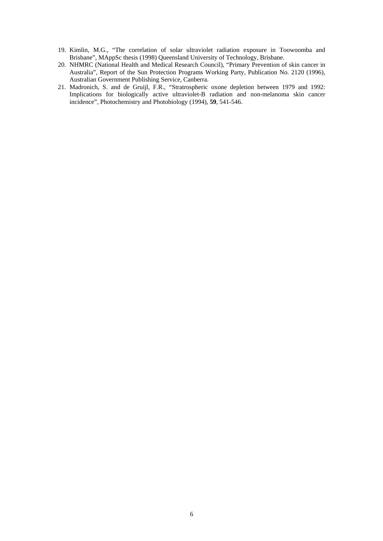- 19. Kimlin, M.G., "The correlation of solar ultraviolet radiation exposure in Toowoomba and Brisbane", MAppSc thesis (1998) Queensland University of Technology, Brisbane.
- 20. NHMRC (National Health and Medical Research Council), "Primary Prevention of skin cancer in Australia", Report of the Sun Protection Programs Working Party, Publication No. 2120 (1996), Australian Government Publishing Service, Canberra.
- 21. Madronich, S. and de Gruijl, F.R., "Stratrospheric oxone depletion between 1979 and 1992: Implications for biologically active ultraviolet-B radiation and non-melanoma skin cancer incidence", Photochemistry and Photobiology (1994), **59**, 541-546.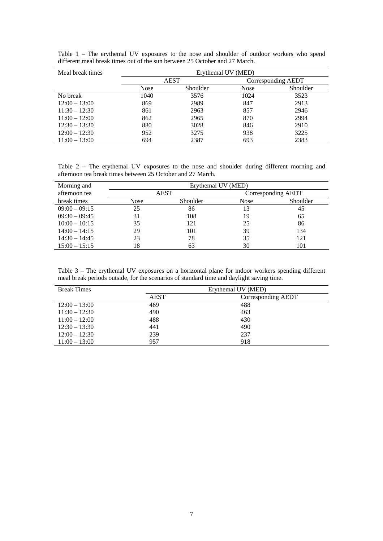<span id="page-6-0"></span>

| Meal break times | Erythemal UV (MED) |          |                    |          |
|------------------|--------------------|----------|--------------------|----------|
|                  | <b>AEST</b>        |          | Corresponding AEDT |          |
|                  | <b>Nose</b>        | Shoulder | <b>Nose</b>        | Shoulder |
| No break         | 1040               | 3576     | 1024               | 3523     |
| $12:00 - 13:00$  | 869                | 2989     | 847                | 2913     |
| $11:30 - 12:30$  | 861                | 2963     | 857                | 2946     |
| $11:00 - 12:00$  | 862                | 2965     | 870                | 2994     |
| $12:30 - 13:30$  | 880                | 3028     | 846                | 2910     |
| $12:00 - 12:30$  | 952                | 3275     | 938                | 3225     |
| $11:00 - 13:00$  | 694                | 2387     | 693                | 2383     |

Table 1 – The erythemal UV exposures to the nose and shoulder of outdoor workers who spend different meal break times out of the sun between 25 October and 27 March.

<span id="page-6-1"></span>Table 2 – The erythemal UV exposures to the nose and shoulder during different morning and afternoon tea break times between 25 October and 27 March.

| Morning and     | Erythemal UV (MED) |          |                    |          |
|-----------------|--------------------|----------|--------------------|----------|
| afternoon tea   | <b>AEST</b>        |          | Corresponding AEDT |          |
| break times     | Nose               | Shoulder | <b>Nose</b>        | Shoulder |
| $09:00 - 09:15$ | 25                 | 86       | 13                 | 45       |
| $09:30 - 09:45$ | 31                 | 108      | 19                 | 65       |
| $10:00 - 10:15$ | 35                 | 121      | 25                 | 86       |
| $14:00 - 14:15$ | 29                 | 101      | 39                 | 134      |
| $14:30 - 14:45$ | 23                 | 78       | 35                 | 121      |
| $15:00 - 15:15$ | 18                 | 63       | 30                 | 101      |

<span id="page-6-2"></span>Table 3 – The erythemal UV exposures on a horizontal plane for indoor workers spending different meal break periods outside, for the scenarios of standard time and daylight saving time.

| <b>Break Times</b> | Erythemal UV (MED) |                    |  |
|--------------------|--------------------|--------------------|--|
|                    | <b>AEST</b>        | Corresponding AEDT |  |
| $12:00 - 13:00$    | 469                | 488                |  |
| $11:30 - 12:30$    | 490                | 463                |  |
| $11:00 - 12:00$    | 488                | 430                |  |
| $12:30 - 13:30$    | 441                | 490                |  |
| $12:00 - 12:30$    | 239                | 237                |  |
| $11:00 - 13:00$    | 957                | 918                |  |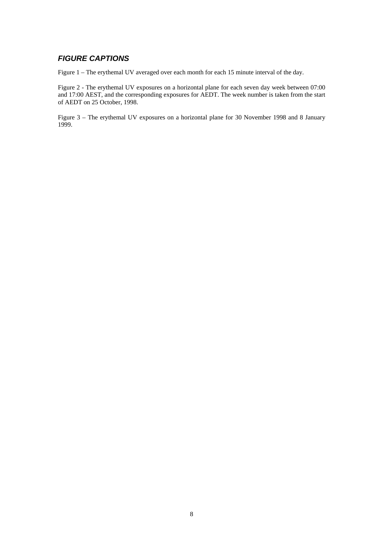## *FIGURE CAPTIONS*

<span id="page-7-0"></span>Figure 1 – The erythemal UV averaged over each month for each 15 minute interval of the day.

<span id="page-7-1"></span>Figure 2 - The erythemal UV exposures on a horizontal plane for each seven day week between 07:00 and 17:00 AEST, and the corresponding exposures for AEDT. The week number is taken from the start of AEDT on 25 October, 1998.

<span id="page-7-2"></span>Figure 3 – The erythemal UV exposures on a horizontal plane for 30 November 1998 and 8 January 1999.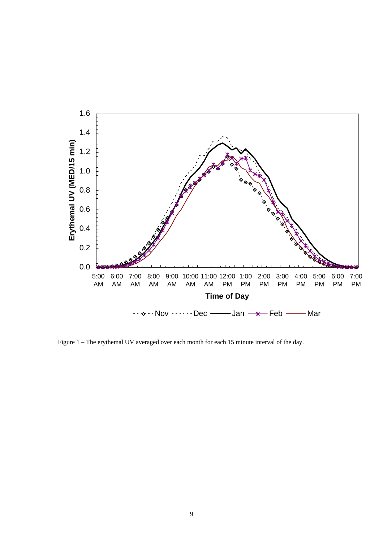

[Figure 1 – The erythemal UV averaged over each month for each 15 minute interval of the day.](#page-7-0)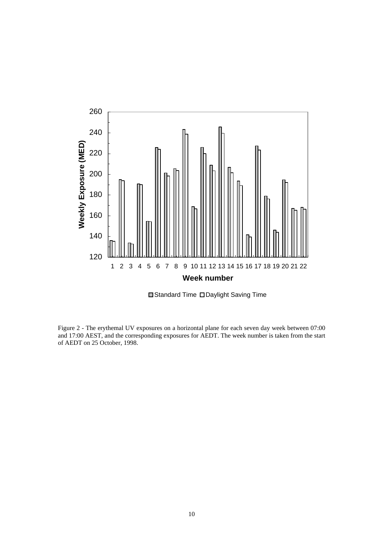

**■Standard Time DDaylight Saving Time** 

[Figure 2 - The erythemal UV exposures on a horizontal plane for each seven day week between 07:00](#page-7-1)  [and 17:00 AEST, and the corresponding exposures for AEDT. The week number is taken from the start](#page-7-1)  [of AEDT on 25 October, 1998.](#page-7-1)